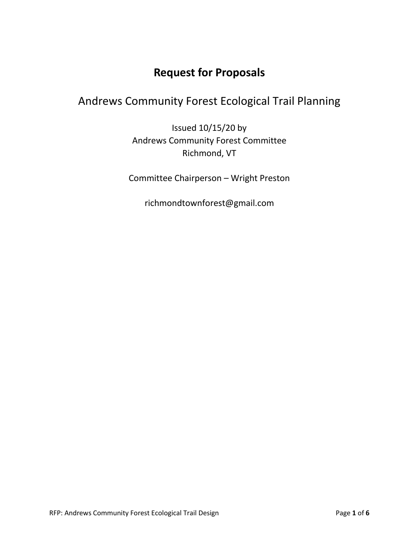# **Request for Proposals**

# Andrews Community Forest Ecological Trail Planning

Issued 10/15/20 by Andrews Community Forest Committee Richmond, VT

Committee Chairperson – Wright Preston

richmondtownforest@gmail.com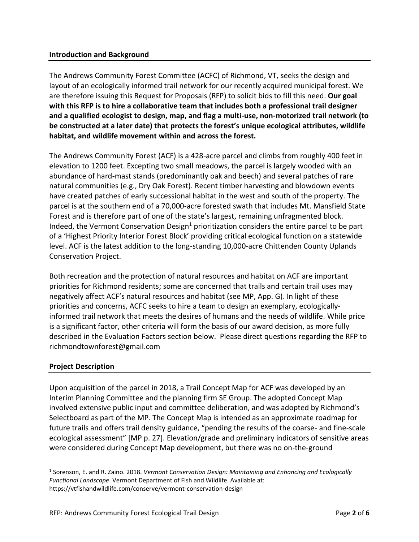## **Introduction and Background**

The Andrews Community Forest Committee (ACFC) of Richmond, VT, seeks the design and layout of an ecologically informed trail network for our recently acquired municipal forest. We are therefore issuing this Request for Proposals (RFP) to solicit bids to fill this need. **Our goal with this RFP is to hire a collaborative team that includes both a professional trail designer and a qualified ecologist to design, map, and flag a multi-use, non-motorized trail network (to be constructed at a later date) that protects the forest's unique ecological attributes, wildlife habitat, and wildlife movement within and across the forest.**

The Andrews Community Forest (ACF) is a 428-acre parcel and climbs from roughly 400 feet in elevation to 1200 feet. Excepting two small meadows, the parcel is largely wooded with an abundance of hard-mast stands (predominantly oak and beech) and several patches of rare natural communities (e.g., Dry Oak Forest). Recent timber harvesting and blowdown events have created patches of early successional habitat in the west and south of the property. The parcel is at the southern end of a 70,000-acre forested swath that includes Mt. Mansfield State Forest and is therefore part of one of the state's largest, remaining unfragmented block. Indeed, the Vermont Conservation Design<sup>1</sup> prioritization considers the entire parcel to be part of a 'Highest Priority Interior Forest Block' providing critical ecological function on a statewide level. ACF is the latest addition to the long-standing 10,000-acre Chittenden County Uplands Conservation Project.

Both recreation and the protection of natural resources and habitat on ACF are important priorities for Richmond residents; some are concerned that trails and certain trail uses may negatively affect ACF's natural resources and habitat (see MP, App. G). In light of these priorities and concerns, ACFC seeks to hire a team to design an exemplary, ecologicallyinformed trail network that meets the desires of humans and the needs of wildlife. While price is a significant factor, other criteria will form the basis of our award decision, as more fully described in the Evaluation Factors section below. Please direct questions regarding the RFP to richmondtownforest@gmail.com

## **Project Description**

 $\overline{a}$ 

Upon acquisition of the parcel in 2018, a Trail Concept Map for ACF was developed by an Interim Planning Committee and the planning firm SE Group. The adopted Concept Map involved extensive public input and committee deliberation, and was adopted by Richmond's Selectboard as part of the MP. The Concept Map is intended as an approximate roadmap for future trails and offers trail density guidance, "pending the results of the coarse- and fine-scale ecological assessment" [MP p. 27]. Elevation/grade and preliminary indicators of sensitive areas were considered during Concept Map development, but there was no on-the-ground

<sup>1</sup> Sorenson, E. and R. Zaino. 2018. *Vermont Conservation Design: Maintaining and Enhancing and Ecologically Functional Landscape*. Vermont Department of Fish and Wildlife. Available at: https://vtfishandwildlife.com/conserve/vermont-conservation-design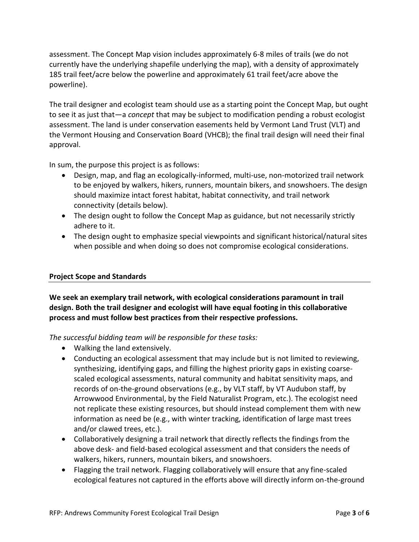assessment. The Concept Map vision includes approximately 6-8 miles of trails (we do not currently have the underlying shapefile underlying the map), with a density of approximately 185 trail feet/acre below the powerline and approximately 61 trail feet/acre above the powerline).

The trail designer and ecologist team should use as a starting point the Concept Map, but ought to see it as just that—a *concept* that may be subject to modification pending a robust ecologist assessment. The land is under conservation easements held by Vermont Land Trust (VLT) and the Vermont Housing and Conservation Board (VHCB); the final trail design will need their final approval.

In sum, the purpose this project is as follows:

- Design, map, and flag an ecologically-informed, multi-use, non-motorized trail network to be enjoyed by walkers, hikers, runners, mountain bikers, and snowshoers. The design should maximize intact forest habitat, habitat connectivity, and trail network connectivity (details below).
- The design ought to follow the Concept Map as guidance, but not necessarily strictly adhere to it.
- The design ought to emphasize special viewpoints and significant historical/natural sites when possible and when doing so does not compromise ecological considerations.

## **Project Scope and Standards**

**We seek an exemplary trail network, with ecological considerations paramount in trail design. Both the trail designer and ecologist will have equal footing in this collaborative process and must follow best practices from their respective professions.**

*The successful bidding team will be responsible for these tasks:*

- Walking the land extensively.
- Conducting an ecological assessment that may include but is not limited to reviewing, synthesizing, identifying gaps, and filling the highest priority gaps in existing coarsescaled ecological assessments, natural community and habitat sensitivity maps, and records of on-the-ground observations (e.g., by VLT staff, by VT Audubon staff, by Arrowwood Environmental, by the Field Naturalist Program, etc.). The ecologist need not replicate these existing resources, but should instead complement them with new information as need be (e.g., with winter tracking, identification of large mast trees and/or clawed trees, etc.).
- Collaboratively designing a trail network that directly reflects the findings from the above desk- and field-based ecological assessment and that considers the needs of walkers, hikers, runners, mountain bikers, and snowshoers.
- Flagging the trail network. Flagging collaboratively will ensure that any fine-scaled ecological features not captured in the efforts above will directly inform on-the-ground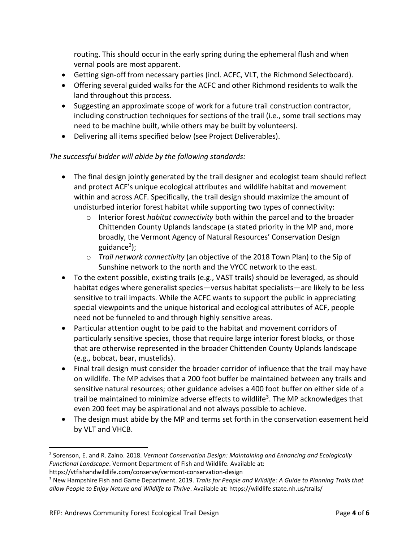routing. This should occur in the early spring during the ephemeral flush and when vernal pools are most apparent.

- Getting sign-off from necessary parties (incl. ACFC, VLT, the Richmond Selectboard).
- Offering several guided walks for the ACFC and other Richmond residents to walk the land throughout this process.
- Suggesting an approximate scope of work for a future trail construction contractor, including construction techniques for sections of the trail (i.e., some trail sections may need to be machine built, while others may be built by volunteers).
- Delivering all items specified below (see Project Deliverables).

## *The successful bidder will abide by the following standards:*

- The final design jointly generated by the trail designer and ecologist team should reflect and protect ACF's unique ecological attributes and wildlife habitat and movement within and across ACF. Specifically, the trail design should maximize the amount of undisturbed interior forest habitat while supporting two types of connectivity:
	- o Interior forest *habitat connectivity* both within the parcel and to the broader Chittenden County Uplands landscape (a stated priority in the MP and, more broadly, the Vermont Agency of Natural Resources' Conservation Design guidance<sup>2</sup>);
	- o *Trail network connectivity* (an objective of the 2018 Town Plan) to the Sip of Sunshine network to the north and the VYCC network to the east.
- To the extent possible, existing trails (e.g., VAST trails) should be leveraged, as should habitat edges where generalist species—versus habitat specialists—are likely to be less sensitive to trail impacts. While the ACFC wants to support the public in appreciating special viewpoints and the unique historical and ecological attributes of ACF, people need not be funneled to and through highly sensitive areas.
- Particular attention ought to be paid to the habitat and movement corridors of particularly sensitive species, those that require large interior forest blocks, or those that are otherwise represented in the broader Chittenden County Uplands landscape (e.g., bobcat, bear, mustelids).
- Final trail design must consider the broader corridor of influence that the trail may have on wildlife. The MP advises that a 200 foot buffer be maintained between any trails and sensitive natural resources; other guidance advises a 400 foot buffer on either side of a trail be maintained to minimize adverse effects to wildlife<sup>3</sup>. The MP acknowledges that even 200 feet may be aspirational and not always possible to achieve.
- The design must abide by the MP and terms set forth in the conservation easement held by VLT and VHCB.

 $\overline{\phantom{a}}$ 

<sup>2</sup> Sorenson, E. and R. Zaino. 2018. *Vermont Conservation Design: Maintaining and Enhancing and Ecologically Functional Landscape*. Vermont Department of Fish and Wildlife. Available at: https://vtfishandwildlife.com/conserve/vermont-conservation-design

<sup>3</sup> New Hampshire Fish and Game Department. 2019. *Trails for People and Wildlife: A Guide to Planning Trails that allow People to Enjoy Nature and Wildlife to Thrive*. Available at: https://wildlife.state.nh.us/trails/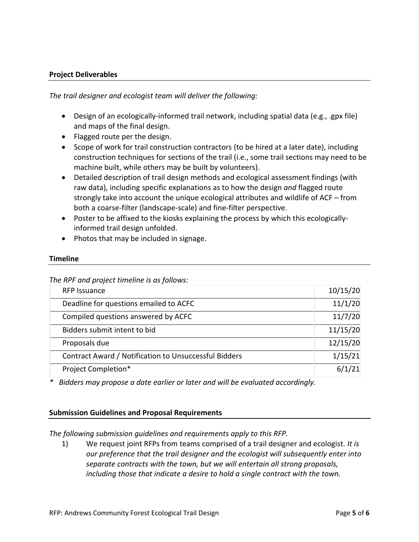#### **Project Deliverables**

*The trail designer and ecologist team will deliver the following:*

- Design of an ecologically-informed trail network, including spatial data (e.g., .gpx file) and maps of the final design.
- Flagged route per the design.
- Scope of work for trail construction contractors (to be hired at a later date), including construction techniques for sections of the trail (i.e., some trail sections may need to be machine built, while others may be built by volunteers).
- Detailed description of trail design methods and ecological assessment findings (with raw data), including specific explanations as to how the design *and* flagged route strongly take into account the unique ecological attributes and wildlife of ACF – from both a coarse-filter (landscape-scale) and fine-filter perspective.
- Poster to be affixed to the kiosks explaining the process by which this ecologicallyinformed trail design unfolded.
- Photos that may be included in signage.

#### **Timeline**

*The RPF and project timeline is as follows:*

| <b>RFP Issuance</b>                                   | 10/15/20 |
|-------------------------------------------------------|----------|
| Deadline for questions emailed to ACFC                | 11/1/20  |
| Compiled questions answered by ACFC                   | 11/7/20  |
| Bidders submit intent to bid                          | 11/15/20 |
| Proposals due                                         | 12/15/20 |
| Contract Award / Notification to Unsuccessful Bidders | 1/15/21  |
| Project Completion*                                   | 6/1/21   |

*\* Bidders may propose a date earlier or later and will be evaluated accordingly.*

#### **Submission Guidelines and Proposal Requirements**

*The following submission guidelines and requirements apply to this RFP.* 

1) We request joint RFPs from teams comprised of a trail designer and ecologist. *It is our preference that the trail designer and the ecologist will subsequently enter into separate contracts with the town, but we will entertain all strong proposals, including those that indicate a desire to hold a single contract with the town.*